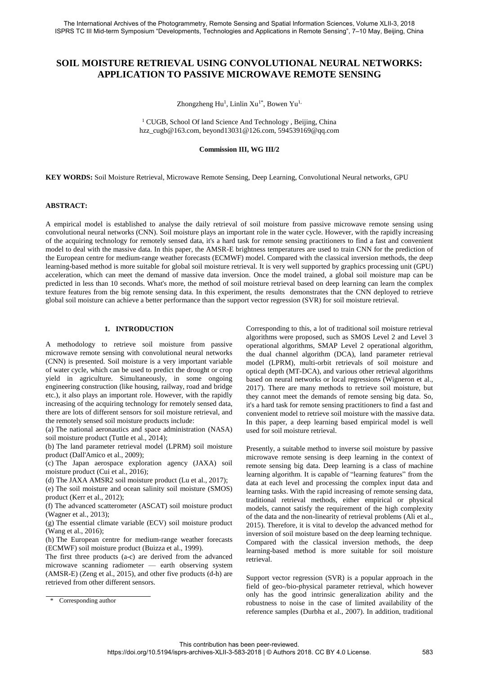# **SOIL MOISTURE RETRIEVAL USING CONVOLUTIONAL NEURAL NETWORKS: APPLICATION TO PASSIVE MICROWAVE REMOTE SENSING**

Zhongzheng Hu<sup>1</sup>, Linlin Xu<sup>1\*</sup>, Bowen Yu<sup>1,</sup>

<sup>1</sup> CUGB, School Of land Science And Technology , Beijing, China [hzz\\_cugb@163.com,](mailto:hzz_cugb@163.com) [beyond13031@126.com,](mailto:beyond13031@126.com) [594539169@qq.com](mailto:594539169@qq.com)

#### **Commission III, WG III/2**

**KEY WORDS:** Soil Moisture Retrieval, Microwave Remote Sensing, Deep Learning, Convolutional Neural networks, GPU

#### **ABSTRACT:**

A empirical model is established to analyse the daily retrieval of soil moisture from passive microwave remote sensing using convolutional neural networks (CNN). Soil moisture plays an important role in the water cycle. However, with the rapidly increasing of the acquiring technology for remotely sensed data, it's a hard task for remote sensing practitioners to find a fast and convenient model to deal with the massive data. In this paper, the AMSR-E brightness temperatures are used to train CNN for the prediction of the European centre for medium-range weather forecasts (ECMWF) model. Compared with the classical inversion methods, the deep learning-based method is more suitable for global soil moisture retrieval. It is very well supported by graphics processing unit (GPU) acceleration, which can meet the demand of massive data inversion. Once the model trained, a global soil moisture map can be predicted in less than 10 seconds. What's more, the method of soil moisture retrieval based on deep learning can learn the complex texture features from the big remote sensing data. In this experiment, the results demonstrates that the CNN deployed to retrieve global soil moisture can achieve a better performance than the support vector regression (SVR) for soil moisture retrieval.

## **1. INTRODUCTION**

A methodology to retrieve soil moisture from passive microwave remote sensing with convolutional neural networks (CNN) is presented. Soil moisture is a very important variable of water cycle, which can be used to predict the drought or crop yield in agriculture. Simultaneously, in some ongoing engineering construction (like housing, railway, road and bridge etc.), it also plays an important role. However, with the rapidly increasing of the acquiring technology for remotely sensed data, there are lots of different sensors for soil moisture retrieval, and the remotely sensed soil moisture products include:

(a) The national aeronautics and space administration (NASA) soil moisture product (Tuttle et al., 2014);

(b) The land parameter retrieval model (LPRM) soil moisture product (Dall'Amico et al., 2009);

(c) The Japan aerospace exploration agency (JAXA) soil moisture product (Cui et al., 2016);

(d) The JAXA AMSR2 soil moisture product (Lu et al., 2017);

(e) The soil moisture and ocean salinity soil moisture (SMOS) product (Kerr et al., 2012);

(f) The advanced scatterometer (ASCAT) soil moisture product (Wagner et al., 2013);

(g) The essential climate variable (ECV) soil moisture product (Wang et al., 2016);

(h) The European centre for medium-range weather forecasts (ECMWF) soil moisture product (Buizza et al., 1999).

The first three products (a-c) are derived from the advanced microwave scanning radiometer — earth observing system (AMSR-E) (Zeng et al., 2015), and other five products (d-h) are retrieved from other different sensors.

Corresponding to this, a lot of traditional soil moisture retrieval algorithms were proposed, such as SMOS Level 2 and Level 3 operational algorithms, SMAP Level 2 operational algorithm, the dual channel algorithm (DCA), land parameter retrieval model (LPRM), multi-orbit retrievals of soil moisture and optical depth (MT-DCA), and various other retrieval algorithms based on neural networks or local regressions (Wigneron et al., 2017). There are many methods to retrieve soil moisture, but they cannot meet the demands of remote sensing big data. So, it's a hard task for remote sensing practitioners to find a fast and convenient model to retrieve soil moisture with the massive data. In this paper, a deep learning based empirical model is well used for soil moisture retrieval.

Presently, a suitable method to inverse soil moisture by passive microwave remote sensing is deep learning in the context of remote sensing big data. Deep learning is a class of machine learning algorithm. It is capable of "learning features" from the data at each level and processing the complex input data and learning tasks. With the rapid increasing of remote sensing data, traditional retrieval methods, either empirical or physical models, cannot satisfy the requirement of the high complexity of the data and the non-linearity of retrieval problems (Ali et al., 2015). Therefore, it is vital to develop the advanced method for inversion of soil moisture based on the deep learning technique. Compared with the classical inversion methods, the deep learning-based method is more suitable for soil moisture retrieval.

Support vector regression (SVR) is a popular approach in the field of geo-/bio-physical parameter retrieval, which however only has the good intrinsic generalization ability and the robustness to noise in the case of limited availability of the reference samples (Durbha et al., 2007). In addition, traditional

<sup>\*</sup> Corresponding author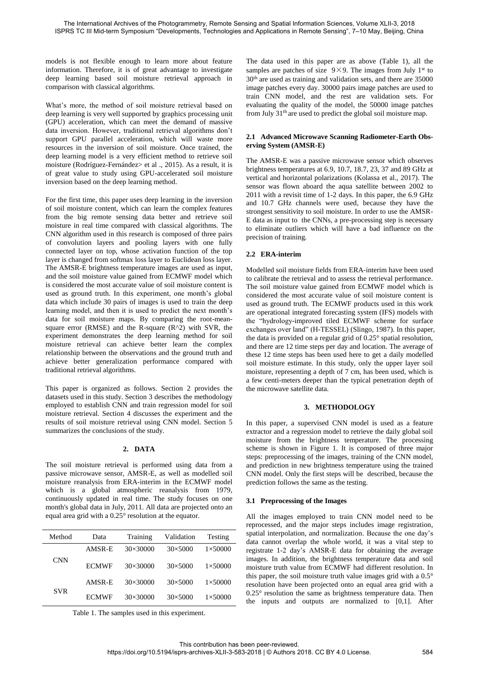models is not flexible enough to learn more about feature information. Therefore, it is of great advantage to investigate deep learning based soil moisture retrieval approach in comparison with classical algorithms.

What's more, the method of soil moisture retrieval based on deep learning is very well supported by graphics processing unit (GPU) acceleration, which can meet the demand of massive data inversion. However, traditional retrieval algorithms don't support GPU parallel acceleration, which will waste more resources in the inversion of soil moisture. Once trained, the deep learning model is a very efficient method to retrieve soil moisture (Rodríguez-Fernández> et al ., 2015). As a result, it is of great value to study using GPU-accelerated soil moisture inversion based on the deep learning method.

For the first time, this paper uses deep learning in the inversion of soil moisture content, which can learn the complex features from the big remote sensing data better and retrieve soil moisture in real time compared with classical algorithms. The CNN algorithm used in this research is composed of three pairs of convolution layers and pooling layers with one fully connected layer on top, whose activation function of the top layer is changed from softmax loss layer to Euclidean loss layer. The AMSR-E brightness temperature images are used as input, and the soil moisture value gained from ECMWF model which is considered the most accurate value of soil moisture content is used as ground truth. In this experiment, one month's global data which include 30 pairs of images is used to train the deep learning model, and then it is used to predict the next month's data for soil moisture maps. By comparing the root-meansquare error (RMSE) and the R-square (R^2) with SVR, the experiment demonstrates the deep learning method for soil moisture retrieval can achieve better learn the complex relationship between the observations and the ground truth and achieve better generalization performance compared with traditional retrieval algorithms.

This paper is organized as follows. Section 2 provides the datasets used in this study. Section 3 describes the methodology employed to establish CNN and train regression model for soil moisture retrieval. Section 4 discusses the experiment and the results of soil moisture retrieval using CNN model. Section 5 summarizes the conclusions of the study.

# **2. DATA**

The soil moisture retrieval is performed using data from a passive microwave sensor, AMSR-E, as well as modelled soil moisture reanalysis from ERA-interim in the ECMWF model which is a global atmospheric reanalysis from 1979, continuously updated in real time. The study focuses on one month's global data in July, 2011. All data are projected onto an equal area grid with a 0.25° resolution at the equator.

| Method     | Data         | Training        | Validation      | Testing         |
|------------|--------------|-----------------|-----------------|-----------------|
| <b>CNN</b> | AMSR-E       | $30\times30000$ | $30\times 5000$ | $1\times 50000$ |
|            | <b>ECMWF</b> | $30\times30000$ | $30\times 5000$ | $1\times 50000$ |
| <b>SVR</b> | AMSR-E       | $30\times30000$ | $30\times 5000$ | $1\times 50000$ |
|            | <b>ECMWF</b> | 30×30000        | $30\times 5000$ | $1\times 50000$ |

Table 1. The samples used in this experiment.

The data used in this paper are as above (Table 1), all the samples are patches of size  $9 \times 9$ . The images from July 1<sup>st</sup> to 30th are used as training and validation sets, and there are 35000 image patches every day. 30000 pairs image patches are used to train CNN model, and the rest are validation sets. For evaluating the quality of the model, the 50000 image patches from July 31<sup>th</sup> are used to predict the global soil moisture map.

### **2.1 Advanced Microwave Scanning Radiometer-Earth Observing System (AMSR-E)**

The AMSR-E was a passive microwave sensor which observes brightness temperatures at 6.9, 10.7, 18.7, 23, 37 and 89 GHz at vertical and horizontal polarizations (Kolassa et al., 2017). The sensor was flown aboard the aqua satellite between 2002 to 2011 with a revisit time of 1-2 days. In this paper, the 6.9 GHz and 10.7 GHz channels were used, because they have the strongest sensitivity to soil moisture. In order to use the AMSR-E data as input to the CNNs, a pre-processing step is necessary to eliminate outliers which will have a bad influence on the precision of training.

### **2.2 ERA-interim**

Modelled soil moisture fields from ERA-interim have been used to calibrate the retrieval and to assess the retrieval performance. The soil moisture value gained from ECMWF model which is considered the most accurate value of soil moisture content is used as ground truth. The ECMWF products used in this work are operational integrated forecasting system (IFS) models with the "hydrology-improved tiled ECMWF scheme for surface exchanges over land" (H-TESSEL) (Slingo, 1987). In this paper, the data is provided on a regular grid of 0.25° spatial resolution, and there are 12 time steps per day and location. The average of these 12 time steps has been used here to get a daily modelled soil moisture estimate. In this study, only the upper layer soil moisture, representing a depth of 7 cm, has been used, which is a few centi-meters deeper than the typical penetration depth of the microwave satellite data.

# **3. METHODOLOGY**

In this paper, a supervised CNN model is used as a feature extractor and a regression model to retrieve the daily global soil moisture from the brightness temperature. The processing scheme is shown in Figure 1. It is composed of three major steps: preprocessing of the images, training of the CNN model, and prediction in new brightness temperature using the trained CNN model. Only the first steps will be described, because the prediction follows the same as the testing.

# **3.1 Preprocessing of the Images**

All the images employed to train CNN model need to be reprocessed, and the major steps includes image registration, spatial interpolation, and normalization. Because the one day's data cannot overlap the whole world, it was a vital step to registrate 1-2 day's AMSR-E data for obtaining the average images. In addition, the brightness temperature data and soil moisture truth value from ECMWF had different resolution. In this paper, the soil moisture truth value images grid with a 0.5° resolution have been projected onto an equal area grid with a 0.25° resolution the same as brightness temperature data. Then the inputs and outputs are normalized to [0,1]. After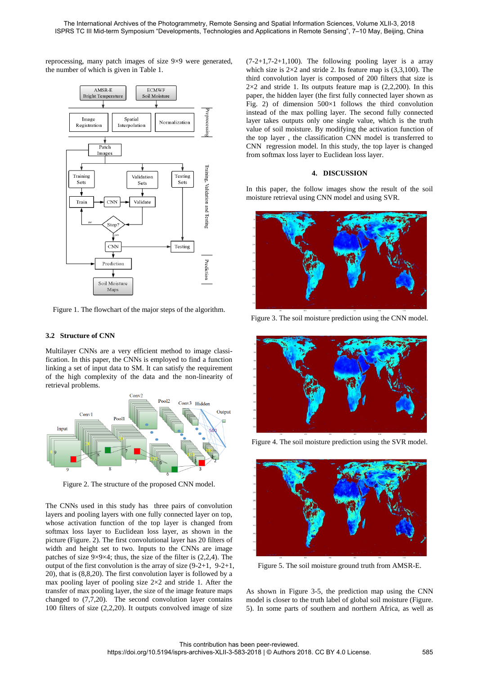reprocessing, many patch images of size 9×9 were generated, the number of which is given in Table 1.



Figure 1. The flowchart of the major steps of the algorithm.

#### **3.2 Structure of CNN**

Multilayer CNNs are a very efficient method to image classification. In this paper, the CNNs is employed to find a function linking a set of input data to SM. It can satisfy the requirement of the high complexity of the data and the non-linearity of retrieval problems.



Figure 2. The structure of the proposed CNN model.

The CNNs used in this study has three pairs of convolution layers and pooling layers with one fully connected layer on top, whose activation function of the top layer is changed from softmax loss layer to Euclidean loss layer, as shown in the picture (Figure. 2). The first convolutional layer has 20 filters of width and height set to two. Inputs to the CNNs are image patches of size  $9\times9\times4$ ; thus, the size of the filter is  $(2,2,4)$ . The output of the first convolution is the array of size (9-2+1, 9-2+1, 20), that is (8,8,20). The first convolution layer is followed by a max pooling layer of pooling size  $2\times 2$  and stride 1. After the transfer of max pooling layer, the size of the image feature maps changed to  $(7,7,20)$ . The second convolution layer contains 100 filters of size (2,2,20). It outputs convolved image of size

 $(7-2+1,7-2+1,100)$ . The following pooling layer is a array which size is  $2\times 2$  and stride 2. Its feature map is  $(3,3,100)$ . The third convolution layer is composed of 200 filters that size is  $2\times2$  and stride 1. Its outputs feature map is (2,2,200). In this paper, the hidden layer (the first fully connected layer shown as Fig. 2) of dimension  $500\times1$  follows the third convolution instead of the max polling layer. The second fully connected layer takes outputs only one single value, which is the truth value of soil moisture. By modifying the activation function of the top layer , the classification CNN model is transferred to CNN regression model. In this study, the top layer is changed from softmax loss layer to Euclidean loss layer.

#### **4. DISCUSSION**

In this paper, the follow images show the result of the soil moisture retrieval using CNN model and using SVR.



Figure 3. The soil moisture prediction using the CNN model.



Figure 4. The soil moisture prediction using the SVR model.



Figure 5. The soil moisture ground truth from AMSR-E.

As shown in Figure 3-5, the prediction map using the CNN model is closer to the truth label of global soil moisture (Figure. 5). In some parts of southern and northern Africa, as well as